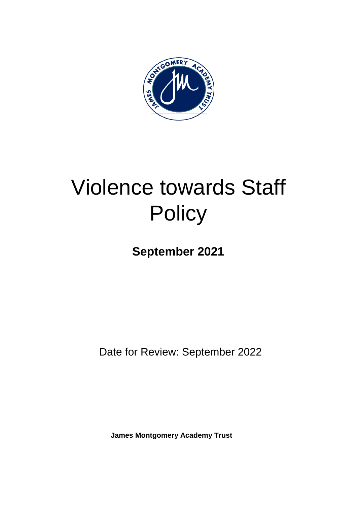

# Violence towards Staff **Policy**

**September 2021**

Date for Review: September 2022

**James Montgomery Academy Trust**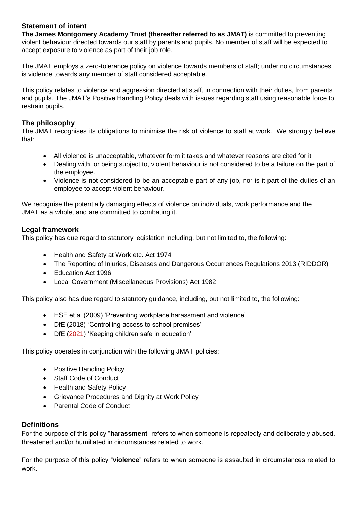# **Statement of intent**

**The James Montgomery Academy Trust (thereafter referred to as JMAT)** is committed to preventing violent behaviour directed towards our staff by parents and pupils. No member of staff will be expected to accept exposure to violence as part of their job role.

The JMAT employs a zero-tolerance policy on violence towards members of staff; under no circumstances is violence towards any member of staff considered acceptable.

This policy relates to violence and aggression directed at staff, in connection with their duties, from parents and pupils. The JMAT's Positive Handling Policy deals with issues regarding staff using reasonable force to restrain pupils.

# **The philosophy**

The JMAT recognises its obligations to minimise the risk of violence to staff at work. We strongly believe that:

- All violence is unacceptable, whatever form it takes and whatever reasons are cited for it
- Dealing with, or being subject to, violent behaviour is not considered to be a failure on the part of the employee.
- Violence is not considered to be an acceptable part of any job, nor is it part of the duties of an employee to accept violent behaviour.

We recognise the potentially damaging effects of violence on individuals, work performance and the JMAT as a whole, and are committed to combating it.

# **Legal framework**

This policy has due regard to statutory legislation including, but not limited to, the following:

- Health and Safety at Work etc. Act 1974
- The Reporting of Injuries, Diseases and Dangerous Occurrences Regulations 2013 (RIDDOR)
- Education Act 1996
- Local Government (Miscellaneous Provisions) Act 1982

This policy also has due regard to statutory guidance, including, but not limited to, the following:

- HSE et al (2009) 'Preventing workplace harassment and violence'
- DfE (2018) 'Controlling access to school premises'
- DfE (2021) 'Keeping children safe in education'

This policy operates in conjunction with the following JMAT policies:

- Positive Handling Policy
- Staff Code of Conduct
- Health and Safety Policy
- Grievance Procedures and Dignity at Work Policy
- Parental Code of Conduct

# **Definitions**

For the purpose of this policy "**harassment**" refers to when someone is repeatedly and deliberately abused, threatened and/or humiliated in circumstances related to work.

For the purpose of this policy "**violence**" refers to when someone is assaulted in circumstances related to work.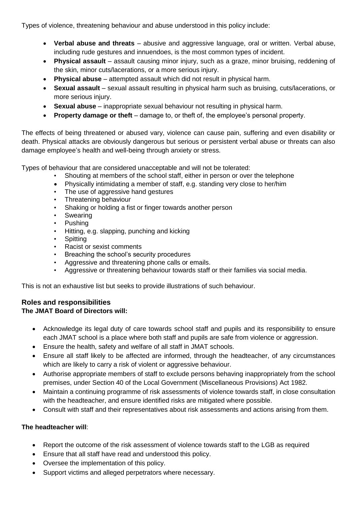Types of violence, threatening behaviour and abuse understood in this policy include:

- **Verbal abuse and threats** abusive and aggressive language, oral or written. Verbal abuse, including rude gestures and innuendoes, is the most common types of incident.
- **Physical assault** assault causing minor injury, such as a graze, minor bruising, reddening of the skin, minor cuts/lacerations, or a more serious injury.
- **Physical abuse** attempted assault which did not result in physical harm.
- **Sexual assault** sexual assault resulting in physical harm such as bruising, cuts/lacerations, or more serious injury.
- **Sexual abuse** inappropriate sexual behaviour not resulting in physical harm.
- **Property damage or theft** damage to, or theft of, the employee's personal property.

The effects of being threatened or abused vary, violence can cause pain, suffering and even disability or death. Physical attacks are obviously dangerous but serious or persistent verbal abuse or threats can also damage employee's health and well-being through anxiety or stress.

Types of behaviour that are considered unacceptable and will not be tolerated:

- Shouting at members of the school staff, either in person or over the telephone
- Physically intimidating a member of staff, e.g. standing very close to her/him
- The use of aggressive hand gestures
- Threatening behaviour
- Shaking or holding a fist or finger towards another person
- **Swearing**
- Pushing
- Hitting, e.g. slapping, punching and kicking
- **Spitting**
- Racist or sexist comments
- Breaching the school's security procedures
- Aggressive and threatening phone calls or emails.
- Aggressive or threatening behaviour towards staff or their families via social media.

This is not an exhaustive list but seeks to provide illustrations of such behaviour.

#### **Roles and responsibilities The JMAT Board of Directors will:**

- Acknowledge its legal duty of care towards school staff and pupils and its responsibility to ensure each JMAT school is a place where both staff and pupils are safe from violence or aggression.
- Ensure the health, safety and welfare of all staff in JMAT schools.
- Ensure all staff likely to be affected are informed, through the headteacher, of any circumstances which are likely to carry a risk of violent or aggressive behaviour.
- Authorise appropriate members of staff to exclude persons behaving inappropriately from the school premises, under Section 40 of the Local Government (Miscellaneous Provisions) Act 1982.
- Maintain a continuing programme of risk assessments of violence towards staff, in close consultation with the headteacher, and ensure identified risks are mitigated where possible.
- Consult with staff and their representatives about risk assessments and actions arising from them.

# **The headteacher will**:

- Report the outcome of the risk assessment of violence towards staff to the LGB as required
- Ensure that all staff have read and understood this policy.
- Oversee the implementation of this policy.
- Support victims and alleged perpetrators where necessary.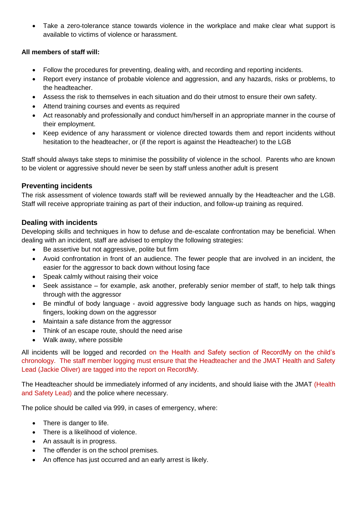Take a zero-tolerance stance towards violence in the workplace and make clear what support is available to victims of violence or harassment.

# **All members of staff will:**

- Follow the procedures for preventing, dealing with, and recording and reporting incidents.
- Report every instance of probable violence and aggression, and any hazards, risks or problems, to the headteacher.
- Assess the risk to themselves in each situation and do their utmost to ensure their own safety.
- Attend training courses and events as required
- Act reasonably and professionally and conduct him/herself in an appropriate manner in the course of their employment.
- Keep evidence of any harassment or violence directed towards them and report incidents without hesitation to the headteacher, or (if the report is against the Headteacher) to the LGB

Staff should always take steps to minimise the possibility of violence in the school. Parents who are known to be violent or aggressive should never be seen by staff unless another adult is present

# **Preventing incidents**

The risk assessment of violence towards staff will be reviewed annually by the Headteacher and the LGB. Staff will receive appropriate training as part of their induction, and follow-up training as required.

# **Dealing with incidents**

Developing skills and techniques in how to defuse and de-escalate confrontation may be beneficial. When dealing with an incident, staff are advised to employ the following strategies:

- Be assertive but not aggressive, polite but firm
- Avoid confrontation in front of an audience. The fewer people that are involved in an incident, the easier for the aggressor to back down without losing face
- Speak calmly without raising their voice
- Seek assistance for example, ask another, preferably senior member of staff, to help talk things through with the aggressor
- Be mindful of body language avoid aggressive body language such as hands on hips, wagging fingers, looking down on the aggressor
- Maintain a safe distance from the aggressor
- Think of an escape route, should the need arise
- Walk away, where possible

All incidents will be logged and recorded on the Health and Safety section of RecordMy on the child's chronology. The staff member logging must ensure that the Headteacher and the JMAT Health and Safety Lead (Jackie Oliver) are tagged into the report on RecordMy.

The Headteacher should be immediately informed of any incidents, and should liaise with the JMAT (Health and Safety Lead) and the police where necessary.

The police should be called via 999, in cases of emergency, where:

- There is danger to life.
- There is a likelihood of violence.
- An assault is in progress.
- The offender is on the school premises.
- An offence has just occurred and an early arrest is likely.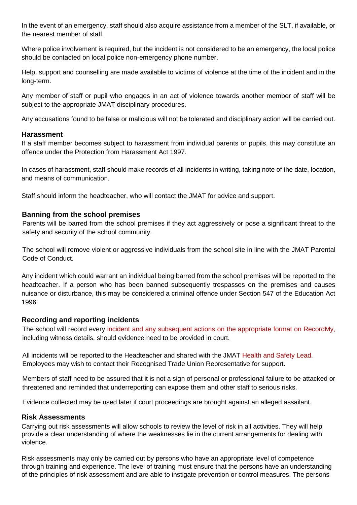In the event of an emergency, staff should also acquire assistance from a member of the SLT, if available, or the nearest member of staff.

Where police involvement is required, but the incident is not considered to be an emergency, the local police should be contacted on local police non-emergency phone number.

Help, support and counselling are made available to victims of violence at the time of the incident and in the long-term.

Any member of staff or pupil who engages in an act of violence towards another member of staff will be subject to the appropriate JMAT disciplinary procedures.

Any accusations found to be false or malicious will not be tolerated and disciplinary action will be carried out.

# **Harassment**

If a staff member becomes subject to harassment from individual parents or pupils, this may constitute an offence under the Protection from Harassment Act 1997.

In cases of harassment, staff should make records of all incidents in writing, taking note of the date, location, and means of communication.

Staff should inform the headteacher, who will contact the JMAT for advice and support.

# **Banning from the school premises**

Parents will be barred from the school premises if they act aggressively or pose a significant threat to the safety and security of the school community.

The school will remove violent or aggressive individuals from the school site in line with the JMAT Parental Code of Conduct.

Any incident which could warrant an individual being barred from the school premises will be reported to the headteacher. If a person who has been banned subsequently trespasses on the premises and causes nuisance or disturbance, this may be considered a criminal offence under Section 547 of the Education Act 1996.

# **Recording and reporting incidents**

The school will record every incident and any subsequent actions on the appropriate format on RecordMy, including witness details, should evidence need to be provided in court.

All incidents will be reported to the Headteacher and shared with the JMAT Health and Safety Lead. Employees may wish to contact their Recognised Trade Union Representative for support.

Members of staff need to be assured that it is not a sign of personal or professional failure to be attacked or threatened and reminded that underreporting can expose them and other staff to serious risks.

Evidence collected may be used later if court proceedings are brought against an alleged assailant.

# **Risk Assessments**

Carrying out risk assessments will allow schools to review the level of risk in all activities. They will help provide a clear understanding of where the weaknesses lie in the current arrangements for dealing with violence.

Risk assessments may only be carried out by persons who have an appropriate level of competence through training and experience. The level of training must ensure that the persons have an understanding of the principles of risk assessment and are able to instigate prevention or control measures. The persons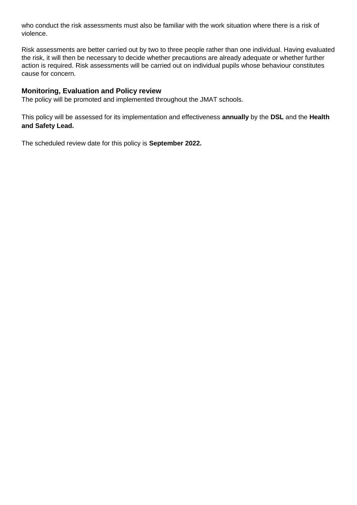who conduct the risk assessments must also be familiar with the work situation where there is a risk of violence.

Risk assessments are better carried out by two to three people rather than one individual. Having evaluated the risk, it will then be necessary to decide whether precautions are already adequate or whether further action is required. Risk assessments will be carried out on individual pupils whose behaviour constitutes cause for concern.

# **Monitoring, Evaluation and Policy review**

The policy will be promoted and implemented throughout the JMAT schools.

This policy will be assessed for its implementation and effectiveness **annually** by the **DSL** and the **Health and Safety Lead.**

The scheduled review date for this policy is **September 2022.**